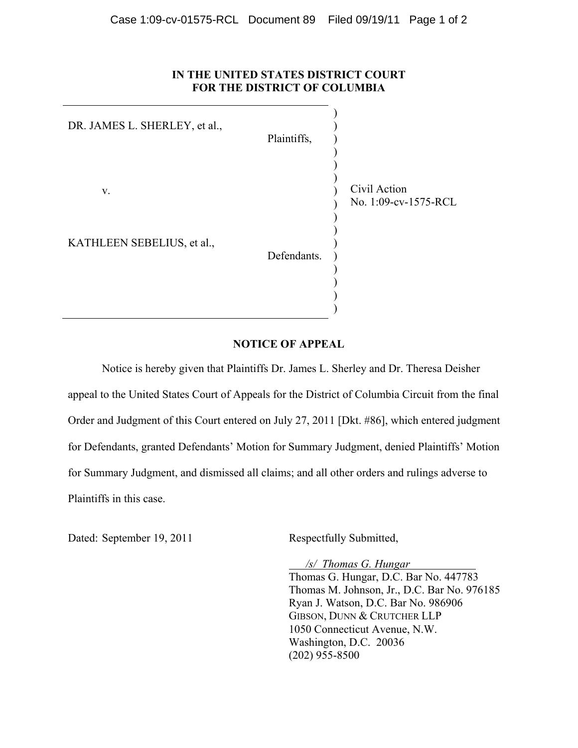## **IN THE UNITED STATES DISTRICT COURT FOR THE DISTRICT OF COLUMBIA**

| DR. JAMES L. SHERLEY, et al., | Plaintiffs, |                                      |
|-------------------------------|-------------|--------------------------------------|
| V.                            |             | Civil Action<br>No. 1:09-cv-1575-RCL |
| KATHLEEN SEBELIUS, et al.,    | Defendants. |                                      |

## **NOTICE OF APPEAL**

)

Notice is hereby given that Plaintiffs Dr. James L. Sherley and Dr. Theresa Deisher appeal to the United States Court of Appeals for the District of Columbia Circuit from the final Order and Judgment of this Court entered on July 27, 2011 [Dkt. #86], which entered judgment for Defendants, granted Defendants' Motion for Summary Judgment, denied Plaintiffs' Motion for Summary Judgment, and dismissed all claims; and all other orders and rulings adverse to Plaintiffs in this case.

Dated: September 19, 2011 Respectfully Submitted,

 */s/ Thomas G. Hungar*  Thomas G. Hungar, D.C. Bar No. 447783 Thomas M. Johnson, Jr., D.C. Bar No. 976185 Ryan J. Watson, D.C. Bar No. 986906 GIBSON, DUNN & CRUTCHER LLP 1050 Connecticut Avenue, N.W. Washington, D.C. 20036 (202) 955-8500